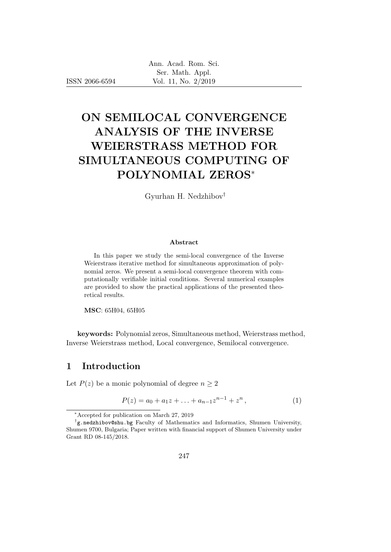ISSN 2066-6594

# ON SEMILOCAL CONVERGENCE ANALYSIS OF THE INVERSE WEIERSTRASS METHOD FOR SIMULTANEOUS COMPUTING OF POLYNOMIAL ZEROS<sup>∗</sup>

Gyurhan H. Nedzhibov†

#### Abstract

In this paper we study the semi-local convergence of the Inverse Weierstrass iterative method for simultaneous approximation of polynomial zeros. We present a semi-local convergence theorem with computationally verifiable initial conditions. Several numerical examples are provided to show the practical applications of the presented theoretical results.

MSC: 65H04, 65H05

keywords: Polynomial zeros, Simultaneous method, Weierstrass method, Inverse Weierstrass method, Local convergence, Semilocal convergence.

### 1 Introduction

Let  $P(z)$  be a monic polynomial of degree  $n \geq 2$ 

$$
P(z) = a_0 + a_1 z + \dots + a_{n-1} z^{n-1} + z^n, \tag{1}
$$

<sup>∗</sup>Accepted for publication on March 27, 2019

<sup>†</sup> g.nedzhibov@shu.bg Faculty of Mathematics and Informatics, Shumen University, Shumen 9700, Bulgaria; Paper written with financial support of Shumen University under Grant RD 08-145/2018.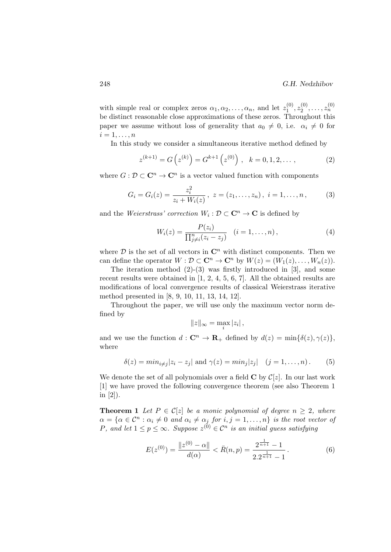with simple real or complex zeros  $\alpha_1, \alpha_2, \ldots, \alpha_n$ , and let  $z_1^{(0)}$  $\tilde{z}_1^{(0)}, z_2^{(0)}$  $z_2^{(0)}, \ldots, z_n^{(0)}$ be distinct reasonable close approximations of these zeros. Throughout this paper we assume without loss of generality that  $a_0 \neq 0$ , i.e.  $\alpha_i \neq 0$  for  $i=1,\ldots,n$ 

In this study we consider a simultaneous iterative method defined by

$$
z^{(k+1)} = G(z^{(k)}) = G^{k+1}(z^{(0)}), \quad k = 0, 1, 2, \dots,
$$
 (2)

where  $G: \mathcal{D} \subset \mathbb{C}^n \to \mathbb{C}^n$  is a vector valued function with components

$$
G_i = G_i(z) = \frac{z_i^2}{z_i + W_i(z)}, \ z = (z_1, \dots, z_n), \ i = 1, \dots, n,
$$
 (3)

and the Weierstrass' correction  $W_i : \mathcal{D} \subset \mathbb{C}^n \to \mathbb{C}$  is defined by

$$
W_i(z) = \frac{P(z_i)}{\prod_{j \neq i}^n (z_i - z_j)} \quad (i = 1, ..., n),
$$
 (4)

where  $\mathcal D$  is the set of all vectors in  $\mathbb C^n$  with distinct components. Then we can define the operator  $W : \mathcal{D} \subset \mathbb{C}^n \to \mathbb{C}^n$  by  $W(z) = (W_1(z), \ldots, W_n(z)).$ 

The iteration method  $(2)-(3)$  was firstly introduced in [3], and some recent results were obtained in [1, 2, 4, 5, 6, 7]. All the obtained results are modifications of local convergence results of classical Weierstrass iterative method presented in [8, 9, 10, 11, 13, 14, 12].

Throughout the paper, we will use only the maximum vector norm defined by

$$
||z||_{\infty} = \max_{i} |z_i|,
$$

and we use the function  $d: \mathbb{C}^n \to \mathbb{R}_+$  defined by  $d(z) = \min\{\delta(z), \gamma(z)\},\$ where

$$
\delta(z) = \min_{i \neq j} |z_i - z_j| \text{ and } \gamma(z) = \min_j |z_j| \quad (j = 1, \dots, n). \tag{5}
$$

We denote the set of all polynomials over a field  $C$  by  $C[z]$ . In our last work [1] we have proved the following convergence theorem (see also Theorem 1 in [2]).

**Theorem 1** Let  $P \in \mathcal{C}[z]$  be a monic polynomial of degree  $n \geq 2$ , where  $\alpha = {\alpha \in \mathcal{C}^n : \alpha_i \neq 0 \text{ and } \alpha_i \neq \alpha_j \text{ for } i, j = 1, \dots, n}$  is the root vector of P, and let  $1 \leq p \leq \infty$ . Suppose  $z^{(0)} \in \mathcal{C}^n$  is an initial guess satisfying

$$
E(z^{(0)}) = \frac{\|z^{(0)} - \alpha\|}{d(\alpha)} < \bar{R}(n, p) = \frac{2^{\frac{1}{n+1}} - 1}{2 \cdot 2^{\frac{1}{n+1}} - 1} \,. \tag{6}
$$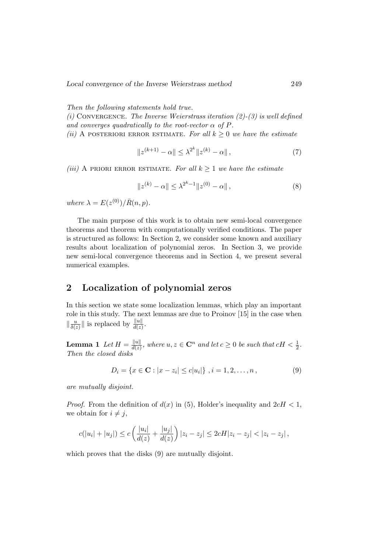Local convergence of the Inverse Weierstrass method 249

Then the following statements hold true.

(i) CONVERGENCE. The Inverse Weierstrass iteration  $(2)-(3)$  is well defined and converges quadratically to the root-vector  $\alpha$  of P.

(ii) A posteriori error estimate. For all  $k > 0$  we have the estimate

$$
||z^{(k+1)} - \alpha|| \le \lambda^{2^k} ||z^{(k)} - \alpha||,
$$
\n(7)

(iii) A PRIORI ERROR ESTIMATE. For all  $k \geq 1$  we have the estimate

$$
||z^{(k)} - \alpha|| \le \lambda^{2^k - 1} ||z^{(0)} - \alpha||,
$$
\n(8)

where  $\lambda = E(z^{(0)})/\bar{R}(n, p)$ .

The main purpose of this work is to obtain new semi-local convergence theorems and theorem with computationally verified conditions. The paper is structured as follows: In Section 2, we consider some known and auxiliary results about localization of polynomial zeros. In Section 3, we provide new semi-local convergence theorems and in Section 4, we present several numerical examples.

### 2 Localization of polynomial zeros

In this section we state some localization lemmas, which play an important role in this study. The next lemmas are due to Proinov [15] in the case when  $\frac{u}{\delta}$  $\frac{u}{\delta(z)}$  is replaced by  $\frac{\|u\|}{d(z)}$ .

**Lemma** 1 Let  $H = \frac{||u||}{d(x)}$  $\frac{\|u\|}{d(z)}$ , where  $u, z \in \mathbf{C}^n$  and let  $c \geq 0$  be such that  $cH < \frac{1}{2}$ . Then the closed disks

$$
D_i = \{x \in \mathbf{C} : |x - z_i| \le c |u_i|\}, \ i = 1, 2, \dots, n,
$$
\n(9)

are mutually disjoint.

*Proof.* From the definition of  $d(x)$  in (5), Holder's inequality and  $2cH < 1$ , we obtain for  $i \neq j$ ,

$$
c(|u_i| + |u_j|) \le c\left(\frac{|u_i|}{d(z)} + \frac{|u_j|}{d(z)}\right)|z_i - z_j| \le 2cH|z_i - z_j| < |z_i - z_j|,
$$

which proves that the disks (9) are mutually disjoint.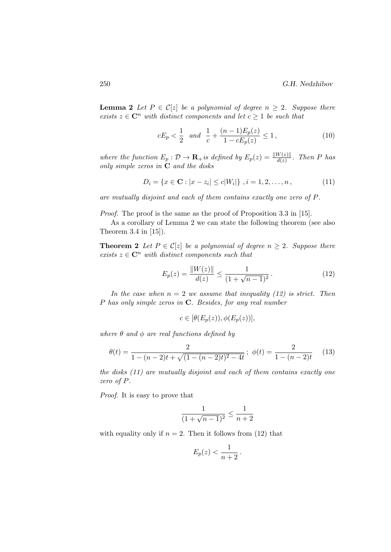**Lemma 2** Let  $P \in C[z]$  be a polynomial of degree  $n \geq 2$ . Suppose there exists  $z \in \mathbb{C}^n$  with distinct components and let  $c \geq 1$  be such that

$$
cE_p < \frac{1}{2} \quad and \quad \frac{1}{c} + \frac{(n-1)E_p(z)}{1 - cE_p(z)} \le 1 \,,\tag{10}
$$

where the function  $E_p : \mathcal{D} \to \mathbf{R}_+$  is defined by  $E_p(z) = \frac{\|W(z)\|}{d(z)}$ . Then P has only simple zeros in C and the disks

$$
D_i = \{x \in \mathbf{C} : |x - z_i| \le c|W_i|\}, \ i = 1, 2, \dots, n,
$$
\n(11)

are mutually disjoint and each of them contains exactly one zero of P.

Proof. The proof is the same as the proof of Proposition 3.3 in [15].

As a corollary of Lemma 2 we can state the following theorem (see also Theorem 3.4 in [15]).

**Theorem 2** Let  $P \in C[z]$  be a polynomial of degree  $n \geq 2$ . Suppose there exists  $z \in \mathbb{C}^n$  with distinct components such that

$$
E_p(z) = \frac{\|W(z)\|}{d(z)} \le \frac{1}{(1 + \sqrt{n-1})^2}.
$$
\n(12)

In the case when  $n = 2$  we assume that inequality (12) is strict. Then P has only simple zeros in C. Besides, for any real number

$$
c \in [\theta(E_p(z)), \phi(E_p(z))],
$$

where  $\theta$  and  $\phi$  are real functions defined by

$$
\theta(t) = \frac{2}{1 - (n - 2)t + \sqrt{(1 - (n - 2)t)^2 - 4t}}; \ \phi(t) = \frac{2}{1 - (n - 2)t} \tag{13}
$$

the disks (11) are mutually disjoint and each of them contains exactly one zero of P.

Proof. It is easy to prove that

$$
\frac{1}{(1+\sqrt{n-1})^2}\leq \frac{1}{n+2}
$$

with equality only if  $n = 2$ . Then it follows from (12) that

$$
E_p(z) < \frac{1}{n+2}
$$

.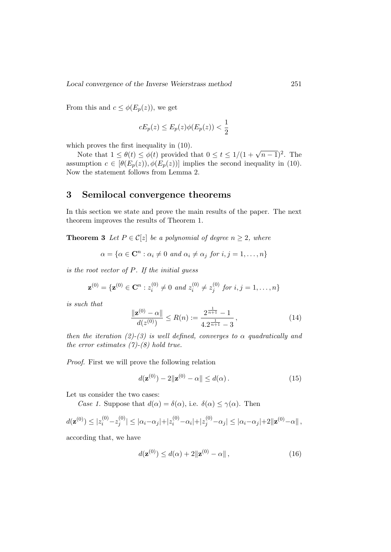From this and  $c \leq \phi(E_p(z))$ , we get

$$
cE_p(z) \le E_p(z)\phi(E_p(z)) < \frac{1}{2}
$$

which proves the first inequality in (10).

Some that  $1 \leq \theta(t) \leq \phi(t)$  provided that  $0 \leq t \leq 1/(1+\sqrt{n-1})^2$ . The assumption  $c \in [\theta(E_p(z)), \phi(E_p(z))]$  implies the second inequality in (10). Now the statement follows from Lemma 2.

#### 3 Semilocal convergence theorems

In this section we state and prove the main results of the paper. The next theorem improves the results of Theorem 1.

**Theorem 3** Let  $P \in \mathcal{C}[z]$  be a polynomial of degree  $n \geq 2$ , where

$$
\alpha = \{ \alpha \in \mathbf{C}^n : \alpha_i \neq 0 \text{ and } \alpha_i \neq \alpha_j \text{ for } i, j = 1, \dots, n \}
$$

is the root vector of P. If the initial guess

$$
\mathbf{z}^{(0)} = {\mathbf{z}^{(0)} \in \mathbf{C}^n : z_i^{(0)} \neq 0 \text{ and } z_i^{(0)} \neq z_j^{(0)} \text{ for } i, j = 1, ..., n}
$$

is such that

$$
\frac{\|\mathbf{z}^{(0)} - \alpha\|}{d(z^{(0)})} \le R(n) := \frac{2^{\frac{1}{n+1}} - 1}{4 \cdot 2^{\frac{1}{n+1}} - 3},\tag{14}
$$

then the iteration (2)-(3) is well defined, converges to  $\alpha$  quadratically and the error estimates  $(7)-(8)$  hold true.

Proof. First we will prove the following relation

$$
d(\mathbf{z}^{(0)}) - 2\|\mathbf{z}^{(0)} - \alpha\| \le d(\alpha). \tag{15}
$$

Let us consider the two cases:

Case 1. Suppose that  $d(\alpha) = \delta(\alpha)$ , i.e.  $\delta(\alpha) \leq \gamma(\alpha)$ . Then

$$
d(\mathbf{z}^{(0)}) \leq |z_i^{(0)} - z_j^{(0)}| \leq |\alpha_i - \alpha_j| + |z_i^{(0)} - \alpha_i| + |z_j^{(0)} - \alpha_j| \leq |\alpha_i - \alpha_j| + 2\|\mathbf{z}^{(0)} - \alpha\|,
$$

according that, we have

$$
d(\mathbf{z}^{(0)}) \le d(\alpha) + 2\|\mathbf{z}^{(0)} - \alpha\|,\tag{16}
$$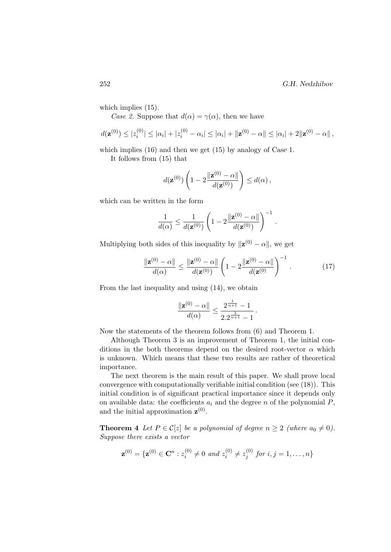which implies  $(15)$ .

Case 2. Suppose that  $d(\alpha) = \gamma(\alpha)$ , then we have

$$
d(\mathbf{z}^{(0)}) \leq |z_i^{(0)}| \leq |\alpha_i| + |z_i^{(0)} - \alpha_i| \leq |\alpha_i| + ||\mathbf{z}^{(0)} - \alpha|| \leq |\alpha_i| + 2||\mathbf{z}^{(0)} - \alpha||,
$$

which implies  $(16)$  and then we get  $(15)$  by analogy of Case 1.

It follows from (15) that

$$
d(\mathbf{z}^{(0)})\left(1-2\frac{\|\mathbf{z}^{(0)}-\alpha\|}{d(\mathbf{z}^{(0)})}\right)\leq d(\alpha),
$$

which can be written in the form

$$
\frac{1}{d(\alpha)} \leq \frac{1}{d(\mathbf{z}^{(0)})} \left(1 - 2\frac{\|\mathbf{z}^{(0)} - \alpha\|}{d(\mathbf{z}^{(0)})}\right)^{-1}
$$

Multiplying both sides of this inequality by  $\|\mathbf{z}^{(0)} - \alpha\|$ , we get

$$
\frac{\|\mathbf{z}^{(0)} - \alpha\|}{d(\alpha)} \le \frac{\|\mathbf{z}^{(0)} - \alpha\|}{d(\mathbf{z}^{(0)})} \left(1 - 2\frac{\|\mathbf{z}^{(0)} - \alpha\|}{d(\mathbf{z}^{(0)})}\right)^{-1}.
$$
 (17)

.

From the last inequality and using (14), we obtain

$$
\frac{\|\mathbf{z}^{(0)} - \alpha\|}{d(\alpha)} \le \frac{2^{\frac{1}{n+1}} - 1}{2 \cdot 2^{\frac{1}{n+1}} - 1}.
$$

Now the statements of the theorem follows from (6) and Theorem 1.

Although Theorem 3 is an improvement of Theorem 1, the initial conditions in the both theorems depend on the desired root-vector  $\alpha$  which is unknown. Which means that these two results are rather of theoretical importance.

The next theorem is the main result of this paper. We shall prove local convergence with computationally verifiable initial condition (see (18)). This initial condition is of significant practical importance since it depends only on available data: the coefficients  $a_i$  and the degree n of the polynomial  $P$ , and the initial approximation  $\mathbf{z}^{(0)}$ .

**Theorem 4** Let  $P \in \mathcal{C}[z]$  be a polynomial of degree  $n \geq 2$  (where  $a_0 \neq 0$ ). Suppose there exists a vector

$$
\mathbf{z}^{(0)} = \{ \mathbf{z}^{(0)} \in \mathbf{C}^n : z_i^{(0)} \neq 0 \text{ and } z_i^{(0)} \neq z_j^{(0)} \text{ for } i, j = 1, \dots, n \}
$$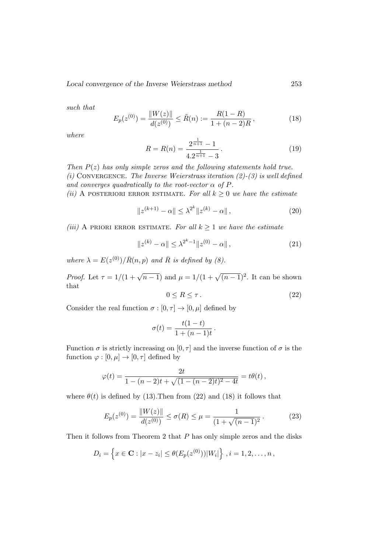Local convergence of the Inverse Weierstrass method 253

such that

$$
E_p(z^{(0)}) = \frac{\|W(z)\|}{d(z^{(0)})} \le \tilde{R}(n) := \frac{R(1-R)}{1 + (n-2)R},
$$
\n(18)

where

$$
R = R(n) = \frac{2^{\frac{1}{n+1}} - 1}{4 \cdot 2^{\frac{1}{n+1}} - 3}.
$$
\n(19)

Then  $P(z)$  has only simple zeros and the following statements hold true. (i) CONVERGENCE. The Inverse Weierstrass iteration  $(2)-(3)$  is well defined and converges quadratically to the root-vector  $\alpha$  of P.

(ii) A POSTERIORI ERROR ESTIMATE. For all  $k \geq 0$  we have the estimate

$$
||z^{(k+1)} - \alpha|| \le \lambda^{2^k} ||z^{(k)} - \alpha||,
$$
\n(20)

(iii) A PRIORI ERROR ESTIMATE. For all  $k \geq 1$  we have the estimate

$$
||z^{(k)} - \alpha|| \le \lambda^{2^k - 1} ||z^{(0)} - \alpha||,
$$
\n(21)

where  $\lambda = E(z^{(0)}) / \bar{R}(n, p)$  and  $\bar{R}$  is defined by (8).

*Proof.* Let  $\tau = 1/(1 + \sqrt{n-1})$  and  $\mu = 1/(1 + \sqrt{(n-1)^2})$ . It can be shown that

$$
0 \le R \le \tau. \tag{22}
$$

Consider the real function  $\sigma : [0, \tau] \to [0, \mu]$  defined by

$$
\sigma(t) = \frac{t(1-t)}{1+(n-1)t}.
$$

Function  $\sigma$  is strictly increasing on  $[0, \tau]$  and the inverse function of  $\sigma$  is the function  $\varphi : [0, \mu] \to [0, \tau]$  defined by

$$
\varphi(t) = \frac{2t}{1 - (n-2)t + \sqrt{(1 - (n-2)t)^2 - 4t}} = t\theta(t),
$$

where  $\theta(t)$  is defined by (13). Then from (22) and (18) it follows that

$$
E_p(z^{(0)}) = \frac{\|W(z)\|}{d(z^{(0)})} \le \sigma(R) \le \mu = \frac{1}{(1 + \sqrt{(n-1)^2}}.
$$
 (23)

Then it follows from Theorem 2 that  $P$  has only simple zeros and the disks

$$
D_i = \left\{ x \in \mathbf{C} : |x - z_i| \leq \theta(E_p(z^{(0)})) |W_i| \right\}, i = 1, 2, ..., n,
$$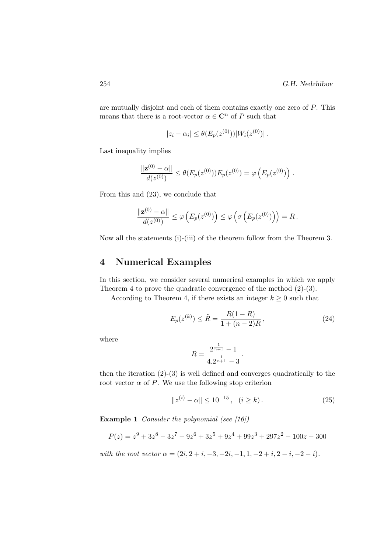are mutually disjoint and each of them contains exactly one zero of P. This means that there is a root-vector  $\alpha \in {\bf C}^n$  of  $P$  such that

$$
|z_i - \alpha_i| \leq \theta(E_p(z^{(0)})) |W_i(z^{(0)})|.
$$

Last inequality implies

$$
\frac{\|\mathbf{z}^{(0)} - \alpha\|}{d(z^{(0)})} \le \theta(E_p(z^{(0)})) E_p(z^{(0)}) = \varphi\left(E_p(z^{(0)})\right) .
$$

From this and (23), we conclude that

$$
\frac{\|\mathbf{z}^{(0)}-\alpha\|}{d(z^{(0)})}\leq \varphi\left(E_p(z^{(0)})\right)\leq \varphi\left(\sigma\left(E_p(z^{(0)})\right)\right)=R\,.
$$

Now all the statements (i)-(iii) of the theorem follow from the Theorem 3.

### 4 Numerical Examples

In this section, we consider several numerical examples in which we apply Theorem 4 to prove the quadratic convergence of the method (2)-(3).

According to Theorem 4, if there exists an integer  $k \geq 0$  such that

$$
E_p(z^{(k)}) \le \tilde{R} = \frac{R(1 - R)}{1 + (n - 2)R},\tag{24}
$$

where

$$
R = \frac{2^{\frac{1}{n+1}} - 1}{4 \cdot 2^{\frac{1}{n+1}} - 3}.
$$

then the iteration  $(2)-(3)$  is well defined and converges quadratically to the root vector  $\alpha$  of P. We use the following stop criterion

$$
||z^{(i)} - \alpha|| \le 10^{-15}, \quad (i \ge k). \tag{25}
$$

Example 1 Consider the polynomial (see [16])

$$
P(z) = z9 + 3z8 - 3z7 - 9z6 + 3z5 + 9z4 + 99z3 + 297z2 - 100z - 300
$$

with the root vector  $\alpha = (2i, 2 + i, -3, -2i, -1, 1, -2 + i, 2 - i, -2 - i).$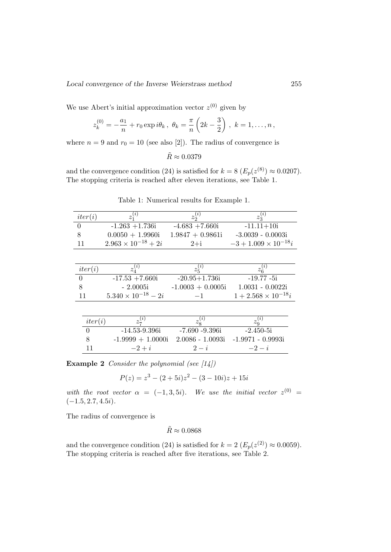We use Abert's initial approximation vector  $z^{(0)}$  given by

$$
z_k^{(0)} = -\frac{a_1}{n} + r_0 \exp i\theta_k, \ \theta_k = \frac{\pi}{n} \left( 2k - \frac{3}{2} \right), \ k = 1, \dots, n \,,
$$

where  $n = 9$  and  $r_0 = 10$  (see also [2]). The radius of convergence is

$$
\tilde{R}\approx 0.0379
$$

and the convergence condition (24) is satisfied for  $k = 8 \ (E_p(z^{(8)}) \approx 0.0207)$ . The stopping criteria is reached after eleven iterations, see Table 1.

| iter(i)        | $z_1^{(i)}$                  | $z_2^{(i)}$         | $z_3^{(i)}$                   |
|----------------|------------------------------|---------------------|-------------------------------|
| 0              | $-1.263 + 1.736i$            | $-4.683 + 7.660i$   | $-11.11+10i$                  |
| 8              | $0.0050 + 1.9960i$           | $1.9847 + 0.9861i$  | $-3.0039 - 0.0003i$           |
| 11             | $2.963 \times 10^{-18} + 2i$ | $2+i$               | $-3 + 1.009 \times 10^{-18}i$ |
|                |                              |                     |                               |
|                |                              |                     |                               |
| iter(i)        | $z_4^{(i)}$                  | $z_5^{(i)}$         | $z_6^{(i)}$                   |
| $\overline{0}$ | $-17.53 + 7.660i$            | $-20.95 + 1.736i$   | $-19.77 - 5i$                 |
| 8              | $-2.0005i$                   | $-1.0003 + 0.0005i$ | $1.0031 - 0.0022i$            |
| 11             | $5.340 \times 10^{-18} - 2i$ | $-1$                | $1 + 2.568 \times 10^{-18}i$  |
|                |                              |                     |                               |
|                |                              |                     |                               |
| iter(i)        | $z_7^{(i)}$                  | $z_8^{(i)}$         | $z_9^{(i)}$                   |
|                | $-14.53 - 9.396i$            | $-7.690 - 9.396i$   | $-2.450-5i$                   |

Table 1: Numerical results for Example 1.

|  | $-1.9999 + 1.0000$ i $2.0086 - 1.0093$ i $-1.9971 - 0.9993$ i |       |          |
|--|---------------------------------------------------------------|-------|----------|
|  | $-2+i$                                                        | $2-i$ | $-2 - i$ |
|  |                                                               |       |          |

**Example 2** Consider the polynomial (see  $\vert 14 \vert$ )

$$
P(z) = z^3 - (2+5i)z^2 - (3-10i)z + 15i
$$

with the root vector  $\alpha = (-1,3,5i)$ . We use the initial vector  $z^{(0)} =$  $(-1.5, 2.7, 4.5i).$ 

The radius of convergence is

$$
\tilde{R} \approx 0.0868
$$

and the convergence condition (24) is satisfied for  $k = 2 \ (E_p(z^{(2)}) \approx 0.0059)$ . The stopping criteria is reached after five iterations, see Table 2.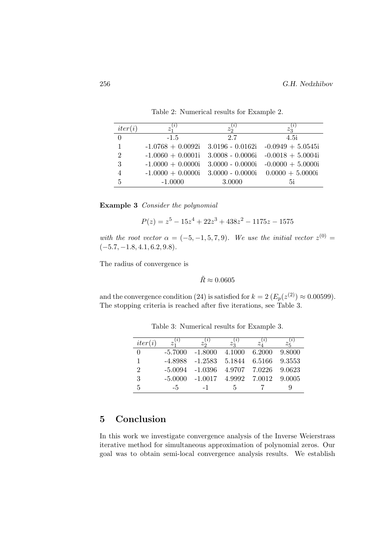| iter(i)        | $z_1^{(i)}$                                            | $z_2^{(i)}$        | $z_3^{(i)}$                           |
|----------------|--------------------------------------------------------|--------------------|---------------------------------------|
| $\Omega$       | $-1.5$                                                 | 2.7                | 4.5i                                  |
| 1              | $-1.0768 + 0.0092i$ 3.0196 - 0.0162i -0.0949 + 5.0545i |                    |                                       |
| $\overline{2}$ | $-1.0060 + 0.0001i$                                    |                    | $3.0008 - 0.0006i - 0.0018 + 5.0004i$ |
| 3              | $-1.0000 + 0.0000i$                                    | $3.0000 - 0.0000i$ | $-0.0000 + 5.0000i$                   |
|                | $-1.0000 + 0.0000i$                                    |                    | $3.0000 - 0.0000i$ $0.0000 + 5.0000i$ |
| 5              | $-1.0000$                                              | 3.0000             | 5i                                    |

Table 2: Numerical results for Example 2.

Example 3 Consider the polynomial

$$
P(z) = z^5 - 15z^4 + 22z^3 + 438z^2 - 1175z - 1575
$$

with the root vector  $\alpha = (-5, -1, 5, 7, 9)$ . We use the initial vector  $z^{(0)} =$  $(-5.7, -1.8, 4.1, 6.2, 9.8).$ 

The radius of convergence is

$$
\tilde{R} \approx 0.0605
$$

and the convergence condition (24) is satisfied for  $k = 2 (E_p(z^{(2)}) \approx 0.00599)$ . The stopping criteria is reached after five iterations, see Table 3.

| iter(i) | $z_1^{(i)}$ | $z_2^{(i)}$      | (i)<br>$z_{2}^{\vee}$ | $\left( \iota \right)$<br>$z_{\lambda}$ | $\left( \iota \right)$<br>$z_{\hat{\mathsf{x}}}$ |
|---------|-------------|------------------|-----------------------|-----------------------------------------|--------------------------------------------------|
| 0       | $-5.7000$   | $-1.8000$        | 4.1000                | 6.2000                                  | 9.8000                                           |
| 1       | $-4.8988$   | $-1.2583$        | 5.1844                | 6.5166                                  | 9.3553                                           |
| 2       | $-5.0094$   | $-1.0396$        | 4.9707 7.0226         |                                         | 9.0623                                           |
| 3       | $-5.0000$   | $-1.0017$ 4.9992 |                       | 7.0012                                  | 9.0005                                           |
| 5       | -5          | $-1$             | h.                    |                                         | ч                                                |

Table 3: Numerical results for Example 3.

## 5 Conclusion

In this work we investigate convergence analysis of the Inverse Weierstrass iterative method for simultaneous approximation of polynomial zeros. Our goal was to obtain semi-local convergence analysis results. We establish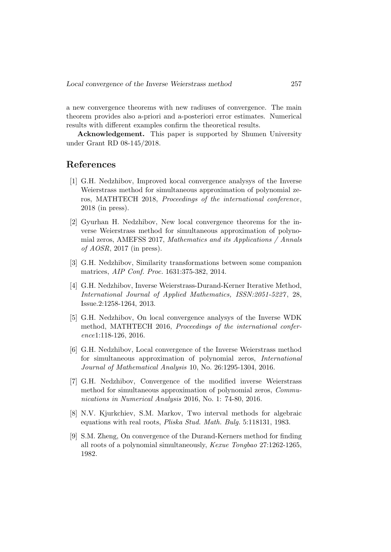a new convergence theorems with new radiuses of convergence. The main theorem provides also a-priori and a-posteriori error estimates. Numerical results with different examples confirm the theoretical results.

Acknowledgement. This paper is supported by Shumen University under Grant RD 08-145/2018.

#### References

- [1] G.H. Nedzhibov, Improved kocal convergence analysys of the Inverse Weierstrass method for simultaneous approximation of polynomial zeros, MATHTECH 2018, Proceedings of the international conference, 2018 (in press).
- [2] Gyurhan H. Nedzhibov, New local convergence theorems for the inverse Weierstrass method for simultaneous approximation of polynomial zeros, AMEFSS 2017, Mathematics and its Applications / Annals of  $AOSR$ , 2017 (in press).
- [3] G.H. Nedzhibov, Similarity transformations between some companion matrices, AIP Conf. Proc. 1631:375-382, 2014.
- [4] G.H. Nedzhibov, Inverse Weierstrass-Durand-Kerner Iterative Method, International Journal of Applied Mathematics, ISSN:2051-5227 , 28, Issue.2:1258-1264, 2013.
- [5] G.H. Nedzhibov, On local convergence analysys of the Inverse WDK method, MATHTECH 2016, Proceedings of the international conference1:118-126, 2016.
- [6] G.H. Nedzhibov, Local convergence of the Inverse Weierstrass method for simultaneous approximation of polynomial zeros, International Journal of Mathematical Analysis 10, No. 26:1295-1304, 2016.
- [7] G.H. Nedzhibov, Convergence of the modified inverse Weierstrass method for simultaneous approximation of polynomial zeros, Communications in Numerical Analysis 2016, No. 1: 74-80, 2016.
- [8] N.V. Kjurkchiev, S.M. Markov, Two interval methods for algebraic equations with real roots, Pliska Stud. Math. Bulg. 5:118131, 1983.
- [9] S.M. Zheng, On convergence of the Durand-Kerners method for finding all roots of a polynomial simultaneously, Kexue Tongbao 27:1262-1265, 1982.